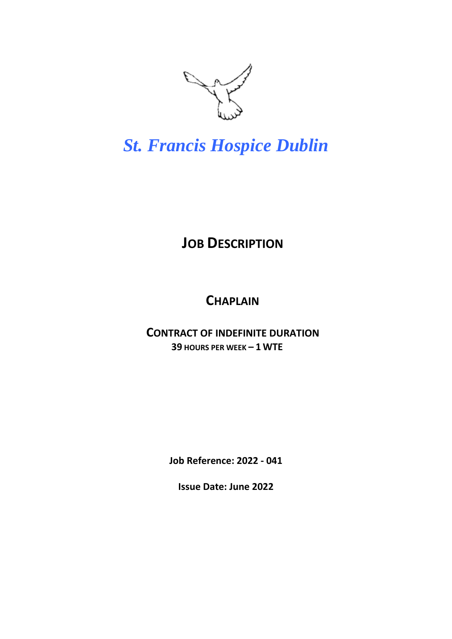

# *St. Francis Hospice Dublin*

## **JOB DESCRIPTION**

### **CHAPLAIN**

### **CONTRACT OF INDEFINITE DURATION 39 HOURS PER WEEK – 1 WTE**

**Job Reference: 2022 - 041**

**Issue Date: June 2022**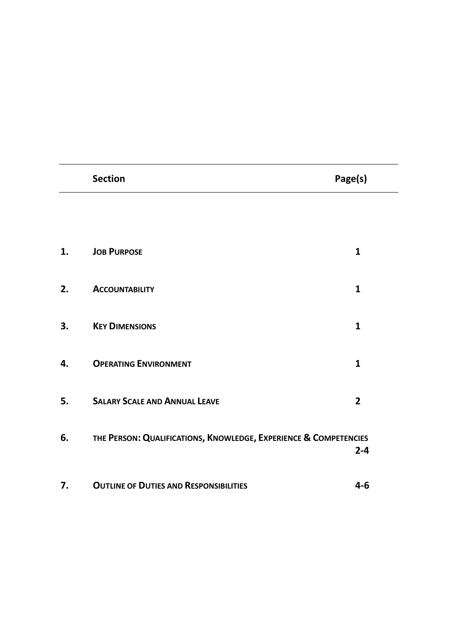|    | <b>Section</b>                                                   | Page(s)        |
|----|------------------------------------------------------------------|----------------|
|    |                                                                  |                |
| 1. | <b>JOB PURPOSE</b>                                               | $\mathbf{1}$   |
| 2. | <b>ACCOUNTABILITY</b>                                            | $\mathbf{1}$   |
|    |                                                                  |                |
| 3. | <b>KEY DIMENSIONS</b>                                            | $\mathbf{1}$   |
| 4. | <b>OPERATING ENVIRONMENT</b>                                     | $\mathbf{1}$   |
| 5. | <b>SALARY SCALE AND ANNUAL LEAVE</b>                             | $\overline{2}$ |
| 6. | THE PERSON: QUALIFICATIONS, KNOWLEDGE, EXPERIENCE & COMPETENCIES |                |
|    |                                                                  | $2 - 4$        |
| 7. | <b>OUTLINE OF DUTIES AND RESPONSIBILITIES</b>                    | $4 - 6$        |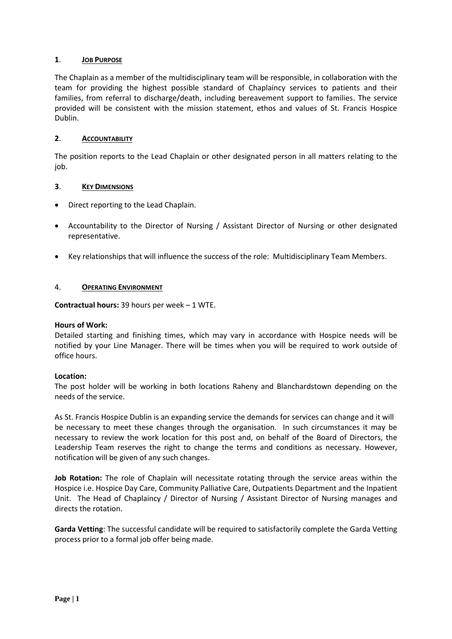#### **1**. **JOB PURPOSE**

The Chaplain as a member of the multidisciplinary team will be responsible, in collaboration with the team for providing the highest possible standard of Chaplaincy services to patients and their families, from referral to discharge/death, including bereavement support to families. The service provided will be consistent with the mission statement, ethos and values of St. Francis Hospice Dublin.

#### **2**. **ACCOUNTABILITY**

The position reports to the Lead Chaplain or other designated person in all matters relating to the job.

#### **3**. **KEY DIMENSIONS**

- Direct reporting to the Lead Chaplain.
- Accountability to the Director of Nursing / Assistant Director of Nursing or other designated representative.
- Key relationships that will influence the success of the role: Multidisciplinary Team Members.

#### 4. **OPERATING ENVIRONMENT**

**Contractual hours:** 39 hours per week – 1 WTE.

#### **Hours of Work:**

Detailed starting and finishing times, which may vary in accordance with Hospice needs will be notified by your Line Manager. There will be times when you will be required to work outside of office hours.

#### **Location:**

The post holder will be working in both locations Raheny and Blanchardstown depending on the needs of the service.

As St. Francis Hospice Dublin is an expanding service the demands for services can change and it will be necessary to meet these changes through the organisation. In such circumstances it may be necessary to review the work location for this post and, on behalf of the Board of Directors, the Leadership Team reserves the right to change the terms and conditions as necessary. However, notification will be given of any such changes.

**Job Rotation:** The role of Chaplain will necessitate rotating through the service areas within the Hospice i.e. Hospice Day Care, Community Palliative Care, Outpatients Department and the Inpatient Unit. The Head of Chaplaincy / Director of Nursing / Assistant Director of Nursing manages and directs the rotation.

**Garda Vetting**: The successful candidate will be required to satisfactorily complete the Garda Vetting process prior to a formal job offer being made.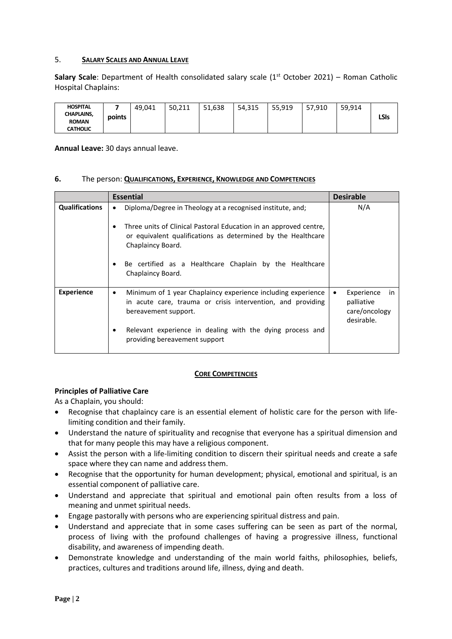#### 5. **SALARY SCALES AND ANNUAL LEAVE**

Salary Scale: Department of Health consolidated salary scale (1<sup>st</sup> October 2021) – Roman Catholic Hospital Chaplains:

| <b>HOSPITAL</b>                   |        | 49,041 | 50.211 | 51.638 | 54,315 | 55,919 | 57.910 | 59.914 |      |
|-----------------------------------|--------|--------|--------|--------|--------|--------|--------|--------|------|
| <b>CHAPLAINS,</b><br><b>ROMAN</b> | points |        |        |        |        |        |        |        | LSIs |
| <b>CATHOLIC</b>                   |        |        |        |        |        |        |        |        |      |

**Annual Leave:** 30 days annual leave.

#### **6.** The person: **QUALIFICATIONS, EXPERIENCE, KNOWLEDGE AND COMPETENCIES**

|                       | <b>Essential</b>                                                                                                                                                                                                                                                                             | <b>Desirable</b>                                               |
|-----------------------|----------------------------------------------------------------------------------------------------------------------------------------------------------------------------------------------------------------------------------------------------------------------------------------------|----------------------------------------------------------------|
| <b>Qualifications</b> | Diploma/Degree in Theology at a recognised institute, and;<br>$\bullet$<br>Three units of Clinical Pastoral Education in an approved centre,<br>or equivalent qualifications as determined by the Healthcare<br>Chaplaincy Board.<br>Be certified as a Healthcare Chaplain by the Healthcare | N/A                                                            |
|                       | Chaplaincy Board.                                                                                                                                                                                                                                                                            |                                                                |
| <b>Experience</b>     | Minimum of 1 year Chaplaincy experience including experience<br>٠<br>in acute care, trauma or crisis intervention, and providing<br>bereavement support.                                                                                                                                     | Experience<br>in.<br>palliative<br>care/oncology<br>desirable. |
|                       | Relevant experience in dealing with the dying process and<br>providing bereavement support                                                                                                                                                                                                   |                                                                |

#### **CORE COMPETENCIES**

#### **Principles of Palliative Care**

As a Chaplain, you should:

- Recognise that chaplaincy care is an essential element of holistic care for the person with lifelimiting condition and their family.
- Understand the nature of spirituality and recognise that everyone has a spiritual dimension and that for many people this may have a religious component.
- Assist the person with a life-limiting condition to discern their spiritual needs and create a safe space where they can name and address them.
- Recognise that the opportunity for human development; physical, emotional and spiritual, is an essential component of palliative care.
- Understand and appreciate that spiritual and emotional pain often results from a loss of meaning and unmet spiritual needs.
- Engage pastorally with persons who are experiencing spiritual distress and pain.
- Understand and appreciate that in some cases suffering can be seen as part of the normal, process of living with the profound challenges of having a progressive illness, functional disability, and awareness of impending death.
- Demonstrate knowledge and understanding of the main world faiths, philosophies, beliefs, practices, cultures and traditions around life, illness, dying and death.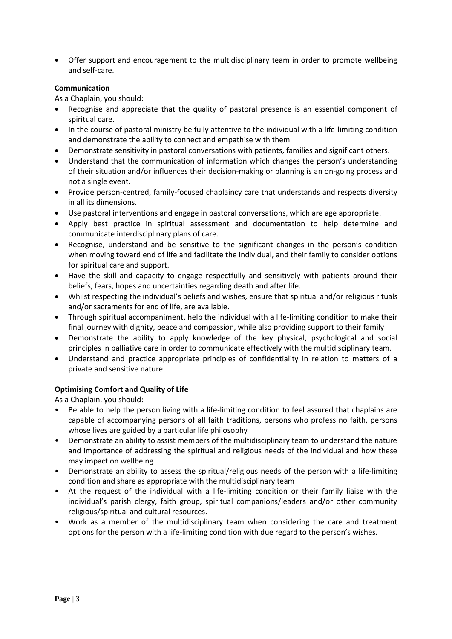Offer support and encouragement to the multidisciplinary team in order to promote wellbeing and self-care.

#### **Communication**

As a Chaplain, you should:

- Recognise and appreciate that the quality of pastoral presence is an essential component of spiritual care.
- In the course of pastoral ministry be fully attentive to the individual with a life-limiting condition and demonstrate the ability to connect and empathise with them
- Demonstrate sensitivity in pastoral conversations with patients, families and significant others.
- Understand that the communication of information which changes the person's understanding of their situation and/or influences their decision-making or planning is an on-going process and not a single event.
- Provide person-centred, family-focused chaplaincy care that understands and respects diversity in all its dimensions.
- Use pastoral interventions and engage in pastoral conversations, which are age appropriate.
- Apply best practice in spiritual assessment and documentation to help determine and communicate interdisciplinary plans of care.
- Recognise, understand and be sensitive to the significant changes in the person's condition when moving toward end of life and facilitate the individual, and their family to consider options for spiritual care and support.
- Have the skill and capacity to engage respectfully and sensitively with patients around their beliefs, fears, hopes and uncertainties regarding death and after life.
- Whilst respecting the individual's beliefs and wishes, ensure that spiritual and/or religious rituals and/or sacraments for end of life, are available.
- Through spiritual accompaniment, help the individual with a life-limiting condition to make their final journey with dignity, peace and compassion, while also providing support to their family
- Demonstrate the ability to apply knowledge of the key physical, psychological and social principles in palliative care in order to communicate effectively with the multidisciplinary team.
- Understand and practice appropriate principles of confidentiality in relation to matters of a private and sensitive nature.

#### **Optimising Comfort and Quality of Life**

As a Chaplain, you should:

- Be able to help the person living with a life-limiting condition to feel assured that chaplains are capable of accompanying persons of all faith traditions, persons who profess no faith, persons whose lives are guided by a particular life philosophy
- Demonstrate an ability to assist members of the multidisciplinary team to understand the nature and importance of addressing the spiritual and religious needs of the individual and how these may impact on wellbeing
- Demonstrate an ability to assess the spiritual/religious needs of the person with a life-limiting condition and share as appropriate with the multidisciplinary team
- At the request of the individual with a life-limiting condition or their family liaise with the individual's parish clergy, faith group, spiritual companions/leaders and/or other community religious/spiritual and cultural resources.
- Work as a member of the multidisciplinary team when considering the care and treatment options for the person with a life-limiting condition with due regard to the person's wishes.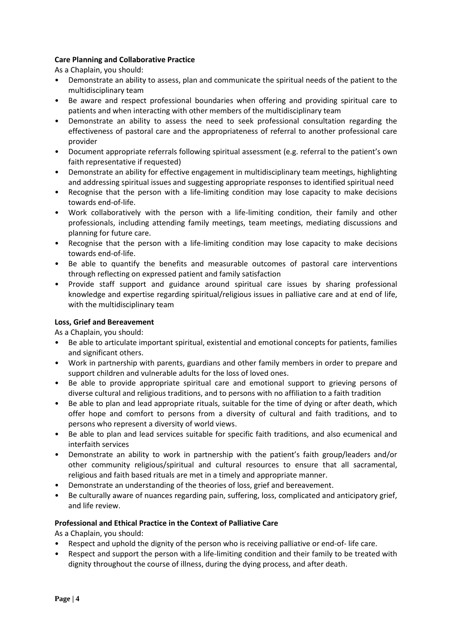#### **Care Planning and Collaborative Practice**

As a Chaplain, you should:

- Demonstrate an ability to assess, plan and communicate the spiritual needs of the patient to the multidisciplinary team
- Be aware and respect professional boundaries when offering and providing spiritual care to patients and when interacting with other members of the multidisciplinary team
- Demonstrate an ability to assess the need to seek professional consultation regarding the effectiveness of pastoral care and the appropriateness of referral to another professional care provider
- Document appropriate referrals following spiritual assessment (e.g. referral to the patient's own faith representative if requested)
- Demonstrate an ability for effective engagement in multidisciplinary team meetings, highlighting and addressing spiritual issues and suggesting appropriate responses to identified spiritual need
- Recognise that the person with a life-limiting condition may lose capacity to make decisions towards end-of-life.
- Work collaboratively with the person with a life-limiting condition, their family and other professionals, including attending family meetings, team meetings, mediating discussions and planning for future care.
- Recognise that the person with a life-limiting condition may lose capacity to make decisions towards end-of-life.
- Be able to quantify the benefits and measurable outcomes of pastoral care interventions through reflecting on expressed patient and family satisfaction
- Provide staff support and guidance around spiritual care issues by sharing professional knowledge and expertise regarding spiritual/religious issues in palliative care and at end of life, with the multidisciplinary team

#### **Loss, Grief and Bereavement**

As a Chaplain, you should:

- Be able to articulate important spiritual, existential and emotional concepts for patients, families and significant others.
- Work in partnership with parents, guardians and other family members in order to prepare and support children and vulnerable adults for the loss of loved ones.
- Be able to provide appropriate spiritual care and emotional support to grieving persons of diverse cultural and religious traditions, and to persons with no affiliation to a faith tradition
- Be able to plan and lead appropriate rituals, suitable for the time of dying or after death, which offer hope and comfort to persons from a diversity of cultural and faith traditions, and to persons who represent a diversity of world views.
- Be able to plan and lead services suitable for specific faith traditions, and also ecumenical and interfaith services
- Demonstrate an ability to work in partnership with the patient's faith group/leaders and/or other community religious/spiritual and cultural resources to ensure that all sacramental, religious and faith based rituals are met in a timely and appropriate manner.
- Demonstrate an understanding of the theories of loss, grief and bereavement.
- Be culturally aware of nuances regarding pain, suffering, loss, complicated and anticipatory grief, and life review.

#### **Professional and Ethical Practice in the Context of Palliative Care**

As a Chaplain, you should:

- Respect and uphold the dignity of the person who is receiving palliative or end-of- life care.
- Respect and support the person with a life-limiting condition and their family to be treated with dignity throughout the course of illness, during the dying process, and after death.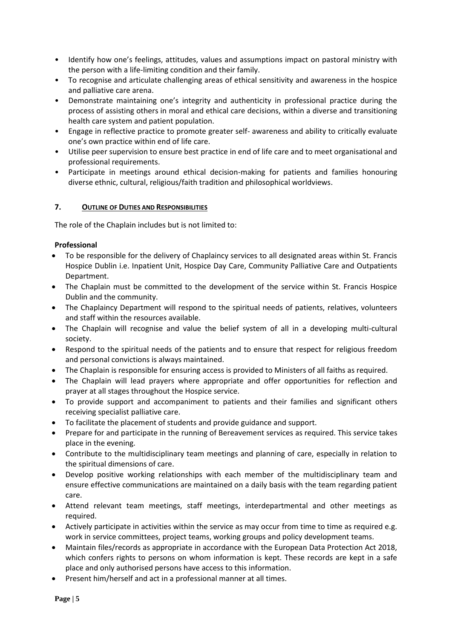- Identify how one's feelings, attitudes, values and assumptions impact on pastoral ministry with the person with a life-limiting condition and their family.
- To recognise and articulate challenging areas of ethical sensitivity and awareness in the hospice and palliative care arena.
- Demonstrate maintaining one's integrity and authenticity in professional practice during the process of assisting others in moral and ethical care decisions, within a diverse and transitioning health care system and patient population.
- Engage in reflective practice to promote greater self- awareness and ability to critically evaluate one's own practice within end of life care.
- Utilise peer supervision to ensure best practice in end of life care and to meet organisational and professional requirements.
- Participate in meetings around ethical decision-making for patients and families honouring diverse ethnic, cultural, religious/faith tradition and philosophical worldviews.

#### **7. OUTLINE OF DUTIES AND RESPONSIBILITIES**

The role of the Chaplain includes but is not limited to:

#### **Professional**

- To be responsible for the delivery of Chaplaincy services to all designated areas within St. Francis Hospice Dublin i.e. Inpatient Unit, Hospice Day Care, Community Palliative Care and Outpatients Department.
- The Chaplain must be committed to the development of the service within St. Francis Hospice Dublin and the community.
- The Chaplaincy Department will respond to the spiritual needs of patients, relatives, volunteers and staff within the resources available.
- The Chaplain will recognise and value the belief system of all in a developing multi-cultural society.
- Respond to the spiritual needs of the patients and to ensure that respect for religious freedom and personal convictions is always maintained.
- The Chaplain is responsible for ensuring access is provided to Ministers of all faiths as required.
- The Chaplain will lead prayers where appropriate and offer opportunities for reflection and prayer at all stages throughout the Hospice service.
- To provide support and accompaniment to patients and their families and significant others receiving specialist palliative care.
- To facilitate the placement of students and provide guidance and support.
- Prepare for and participate in the running of Bereavement services as required. This service takes place in the evening.
- Contribute to the multidisciplinary team meetings and planning of care, especially in relation to the spiritual dimensions of care.
- Develop positive working relationships with each member of the multidisciplinary team and ensure effective communications are maintained on a daily basis with the team regarding patient care.
- Attend relevant team meetings, staff meetings, interdepartmental and other meetings as required.
- Actively participate in activities within the service as may occur from time to time as required e.g. work in service committees, project teams, working groups and policy development teams.
- Maintain files/records as appropriate in accordance with the European Data Protection Act 2018, which confers rights to persons on whom information is kept. These records are kept in a safe place and only authorised persons have access to this information.
- Present him/herself and act in a professional manner at all times.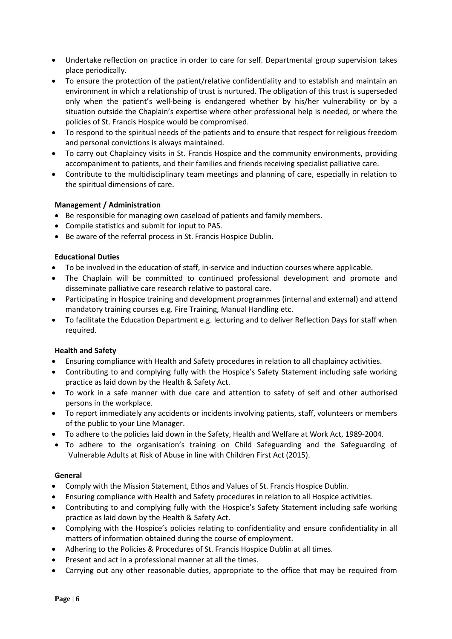- Undertake reflection on practice in order to care for self. Departmental group supervision takes place periodically.
- To ensure the protection of the patient/relative confidentiality and to establish and maintain an environment in which a relationship of trust is nurtured. The obligation of this trust is superseded only when the patient's well-being is endangered whether by his/her vulnerability or by a situation outside the Chaplain's expertise where other professional help is needed, or where the policies of St. Francis Hospice would be compromised.
- To respond to the spiritual needs of the patients and to ensure that respect for religious freedom and personal convictions is always maintained.
- To carry out Chaplaincy visits in St. Francis Hospice and the community environments, providing accompaniment to patients, and their families and friends receiving specialist palliative care.
- Contribute to the multidisciplinary team meetings and planning of care, especially in relation to the spiritual dimensions of care.

#### **Management / Administration**

- Be responsible for managing own caseload of patients and family members.
- Compile statistics and submit for input to PAS.
- Be aware of the referral process in St. Francis Hospice Dublin.

#### **Educational Duties**

- To be involved in the education of staff, in-service and induction courses where applicable.
- The Chaplain will be committed to continued professional development and promote and disseminate palliative care research relative to pastoral care.
- Participating in Hospice training and development programmes (internal and external) and attend mandatory training courses e.g. Fire Training, Manual Handling etc.
- To facilitate the Education Department e.g. lecturing and to deliver Reflection Days for staff when required.

#### **Health and Safety**

- Ensuring compliance with Health and Safety procedures in relation to all chaplaincy activities.
- Contributing to and complying fully with the Hospice's Safety Statement including safe working practice as laid down by the Health & Safety Act.
- To work in a safe manner with due care and attention to safety of self and other authorised persons in the workplace.
- To report immediately any accidents or incidents involving patients, staff, volunteers or members of the public to your Line Manager.
- To adhere to the policies laid down in the Safety, Health and Welfare at Work Act, 1989-2004.
- To adhere to the organisation's training on Child Safeguarding and the Safeguarding of Vulnerable Adults at Risk of Abuse in line with Children First Act (2015).

#### **General**

- Comply with the Mission Statement, Ethos and Values of St. Francis Hospice Dublin.
- Ensuring compliance with Health and Safety procedures in relation to all Hospice activities.
- Contributing to and complying fully with the Hospice's Safety Statement including safe working practice as laid down by the Health & Safety Act.
- Complying with the Hospice's policies relating to confidentiality and ensure confidentiality in all matters of information obtained during the course of employment.
- Adhering to the Policies & Procedures of St. Francis Hospice Dublin at all times.
- Present and act in a professional manner at all the times.
- Carrying out any other reasonable duties, appropriate to the office that may be required from